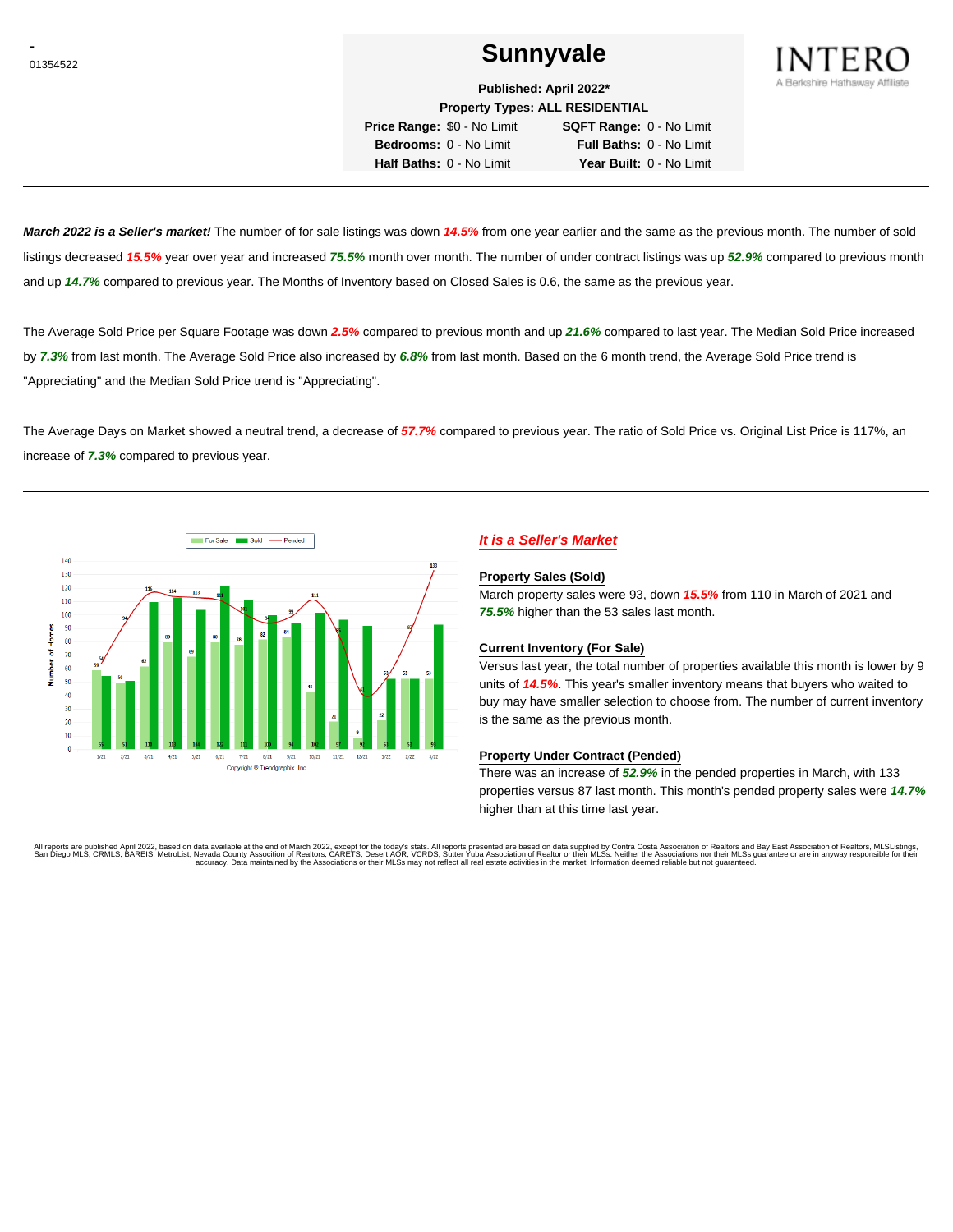# **CONSUMERENT SUNNYVALE**



**Published: April 2022\***

**Property Types: ALL RESIDENTIAL Price Range:** \$0 - No Limit **SQFT Range:** 0 - No Limit **Bedrooms:** 0 - No Limit **Full Baths:** 0 - No Limit

**Half Baths:** 0 - No Limit **Year Built:** 0 - No Limit

**March 2022 is a Seller's market!** The number of for sale listings was down **14.5%** from one year earlier and the same as the previous month. The number of sold listings decreased **15.5%** year over year and increased **75.5%** month over month. The number of under contract listings was up **52.9%** compared to previous month and up **14.7%** compared to previous year. The Months of Inventory based on Closed Sales is 0.6, the same as the previous year.

The Average Sold Price per Square Footage was down **2.5%** compared to previous month and up **21.6%** compared to last year. The Median Sold Price increased by **7.3%** from last month. The Average Sold Price also increased by **6.8%** from last month. Based on the 6 month trend, the Average Sold Price trend is "Appreciating" and the Median Sold Price trend is "Appreciating".

The Average Days on Market showed a neutral trend, a decrease of **57.7%** compared to previous year. The ratio of Sold Price vs. Original List Price is 117%, an increase of **7.3%** compared to previous year.



# **It is a Seller's Market**

#### **Property Sales (Sold)**

March property sales were 93, down **15.5%** from 110 in March of 2021 and **75.5%** higher than the 53 sales last month.

#### **Current Inventory (For Sale)**

Versus last year, the total number of properties available this month is lower by 9 units of **14.5%**. This year's smaller inventory means that buyers who waited to buy may have smaller selection to choose from. The number of current inventory is the same as the previous month.

#### **Property Under Contract (Pended)**

There was an increase of **52.9%** in the pended properties in March, with 133 properties versus 87 last month. This month's pended property sales were **14.7%** higher than at this time last year.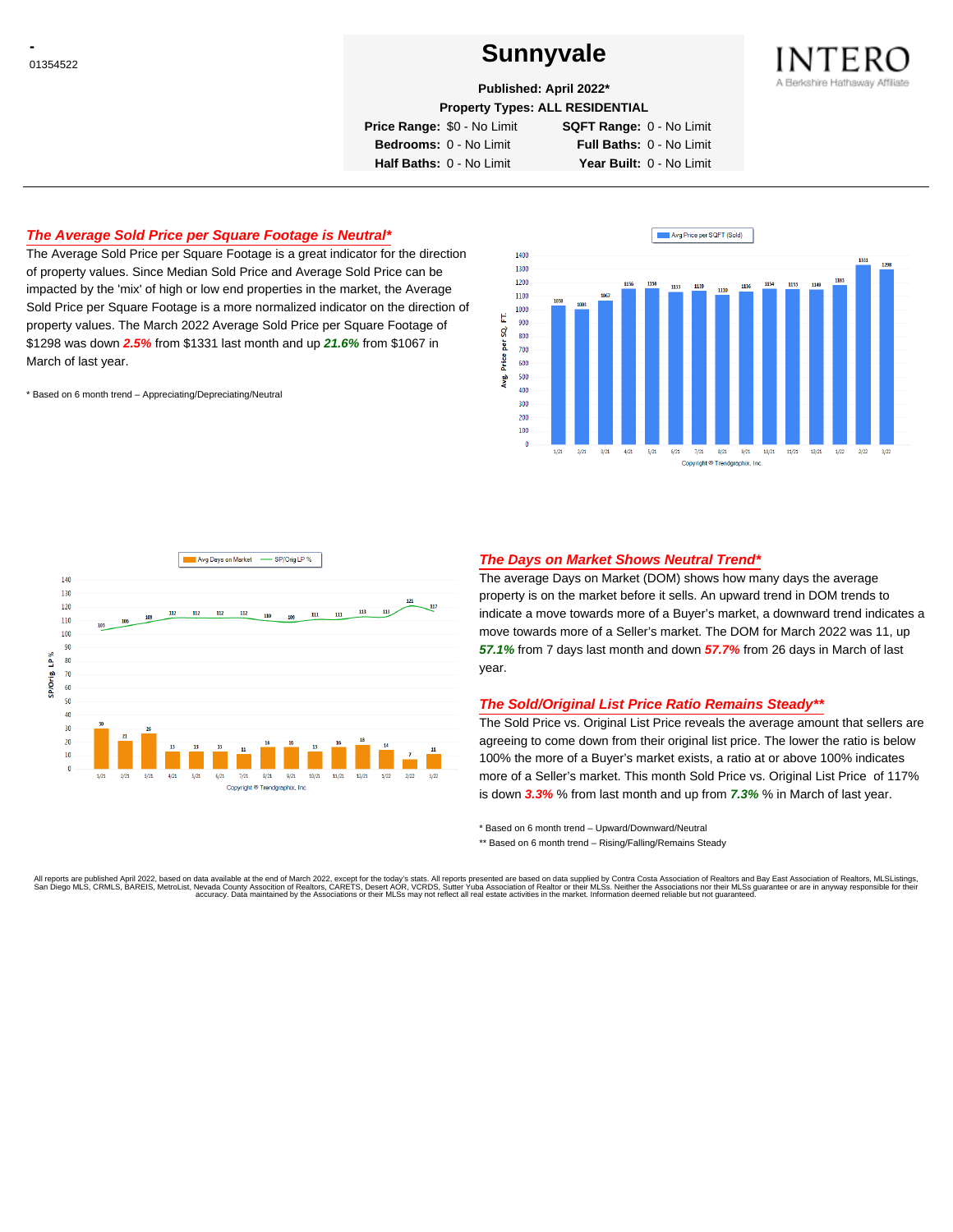# **CONSUMERENT SUNNYVALE**



**Published: April 2022\***

**Property Types: ALL RESIDENTIAL**

**Price Range:** \$0 - No Limit **SQFT Range:** 0 - No Limit **Bedrooms:** 0 - No Limit **Full Baths:** 0 - No Limit **Half Baths:** 0 - No Limit **Year Built:** 0 - No Limit

## **The Average Sold Price per Square Footage is Neutral\***

The Average Sold Price per Square Footage is a great indicator for the direction of property values. Since Median Sold Price and Average Sold Price can be impacted by the 'mix' of high or low end properties in the market, the Average Sold Price per Square Footage is a more normalized indicator on the direction of property values. The March 2022 Average Sold Price per Square Footage of \$1298 was down **2.5%** from \$1331 last month and up **21.6%** from \$1067 in March of last year.

\* Based on 6 month trend – Appreciating/Depreciating/Neutral





### **The Days on Market Shows Neutral Trend\***

The average Days on Market (DOM) shows how many days the average property is on the market before it sells. An upward trend in DOM trends to indicate a move towards more of a Buyer's market, a downward trend indicates a move towards more of a Seller's market. The DOM for March 2022 was 11, up **57.1%** from 7 days last month and down **57.7%** from 26 days in March of last year.

#### **The Sold/Original List Price Ratio Remains Steady\*\***

The Sold Price vs. Original List Price reveals the average amount that sellers are agreeing to come down from their original list price. The lower the ratio is below 100% the more of a Buyer's market exists, a ratio at or above 100% indicates more of a Seller's market. This month Sold Price vs. Original List Price of 117% is down **3.3%** % from last month and up from **7.3%** % in March of last year.

\* Based on 6 month trend – Upward/Downward/Neutral

\*\* Based on 6 month trend - Rising/Falling/Remains Steady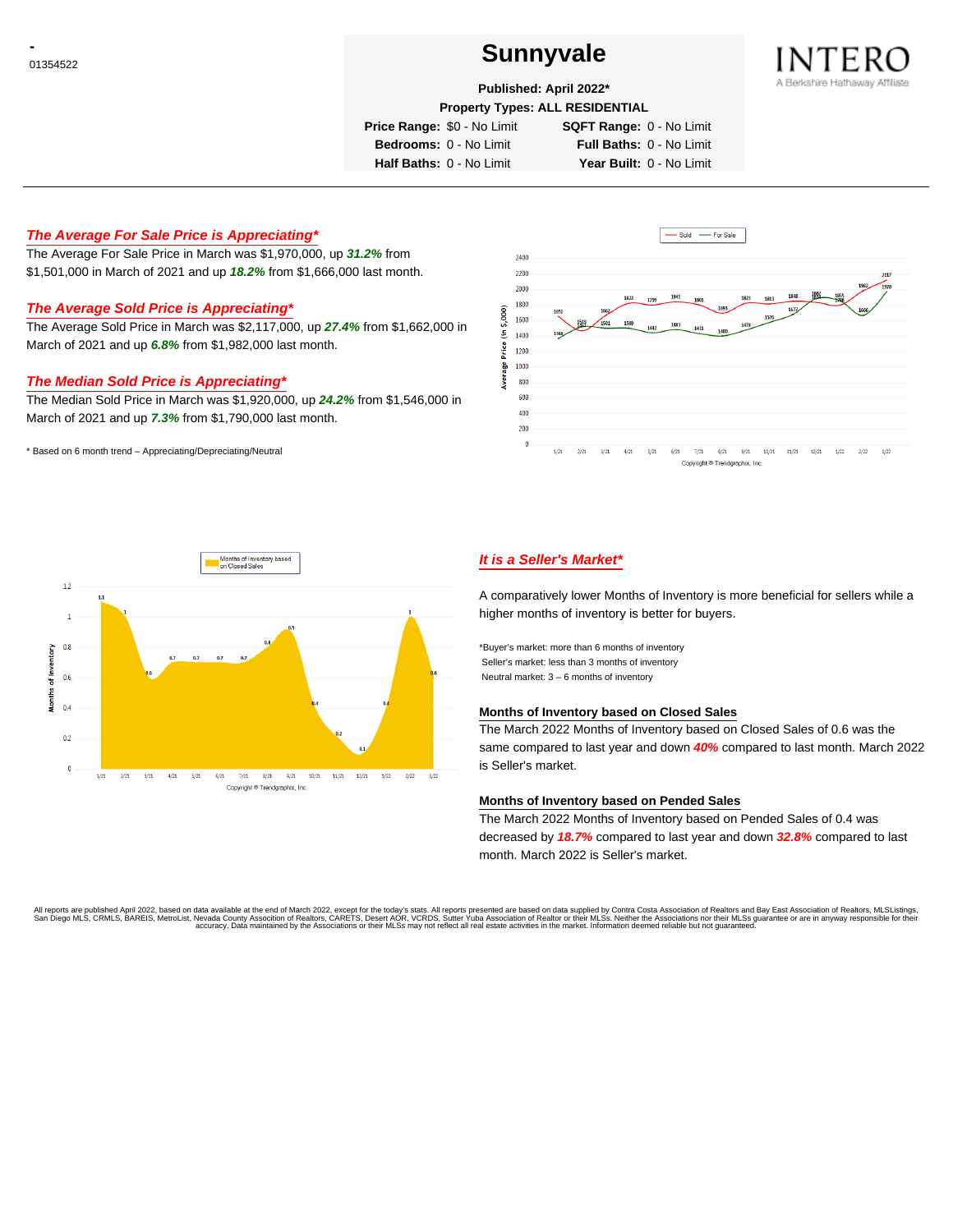# **CONSUMERENT SUNNYVALE**



**Published: April 2022\***

**Property Types: ALL RESIDENTIAL**

**Price Range:** \$0 - No Limit **SQFT Range:** 0 - No Limit

**Bedrooms:** 0 - No Limit **Full Baths:** 0 - No Limit **Half Baths:** 0 - No Limit **Year Built:** 0 - No Limit

# **The Average For Sale Price is Appreciating\***

The Average For Sale Price in March was \$1,970,000, up **31.2%** from \$1,501,000 in March of 2021 and up **18.2%** from \$1,666,000 last month.

## **The Average Sold Price is Appreciating\***

The Average Sold Price in March was \$2,117,000, up **27.4%** from \$1,662,000 in March of 2021 and up **6.8%** from \$1,982,000 last month.

## **The Median Sold Price is Appreciating\***

The Median Sold Price in March was \$1,920,000, up **24.2%** from \$1,546,000 in March of 2021 and up **7.3%** from \$1,790,000 last month.

\* Based on 6 month trend – Appreciating/Depreciating/Neutral





## **It is a Seller's Market\***

A comparatively lower Months of Inventory is more beneficial for sellers while a higher months of inventory is better for buyers.

\*Buyer's market: more than 6 months of inventory Seller's market: less than 3 months of inventory Neutral market: 3 – 6 months of inventory

#### **Months of Inventory based on Closed Sales**

The March 2022 Months of Inventory based on Closed Sales of 0.6 was the same compared to last year and down **40%** compared to last month. March 2022 is Seller's market.

#### **Months of Inventory based on Pended Sales**

The March 2022 Months of Inventory based on Pended Sales of 0.4 was decreased by **18.7%** compared to last year and down **32.8%** compared to last month. March 2022 is Seller's market.